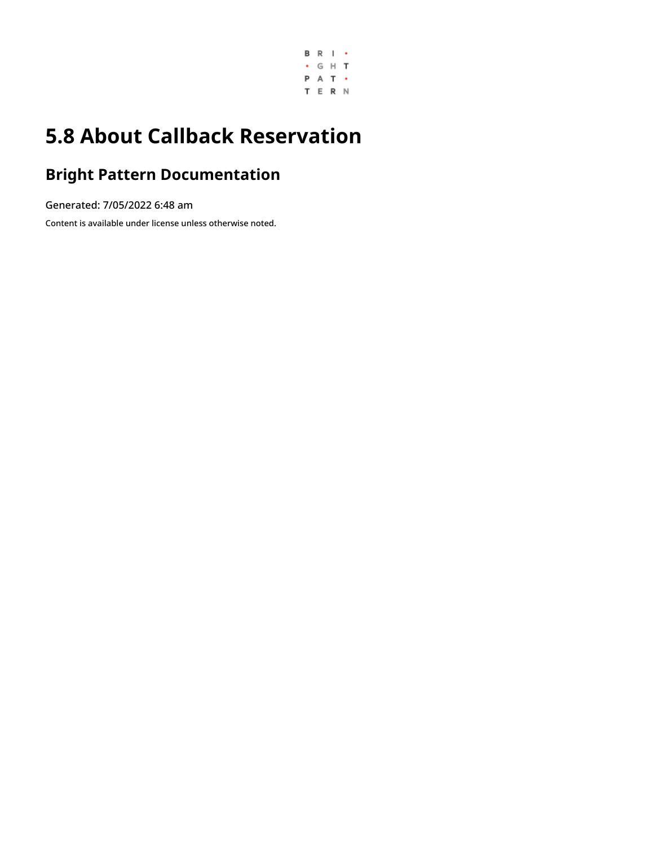

# **5.8 About Callback Reservation**

### **Bright Pattern Documentation**

Generated: 7/05/2022 6:48 am

Content is available under license unless otherwise noted.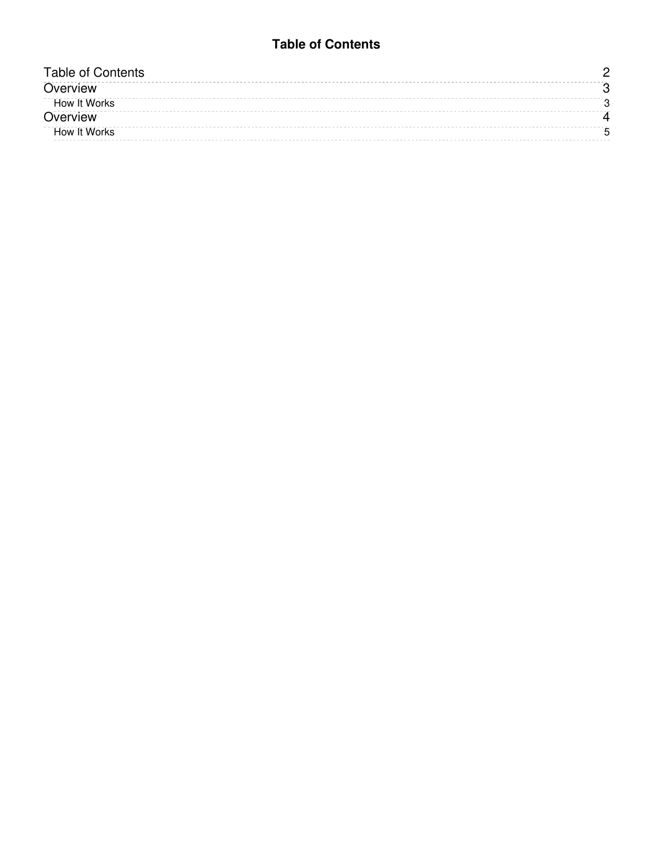#### **Table of Contents**

<span id="page-1-0"></span>

| Fable of Contents   |  |
|---------------------|--|
| Overview            |  |
| How It Works        |  |
| Overview            |  |
| <b>How It Works</b> |  |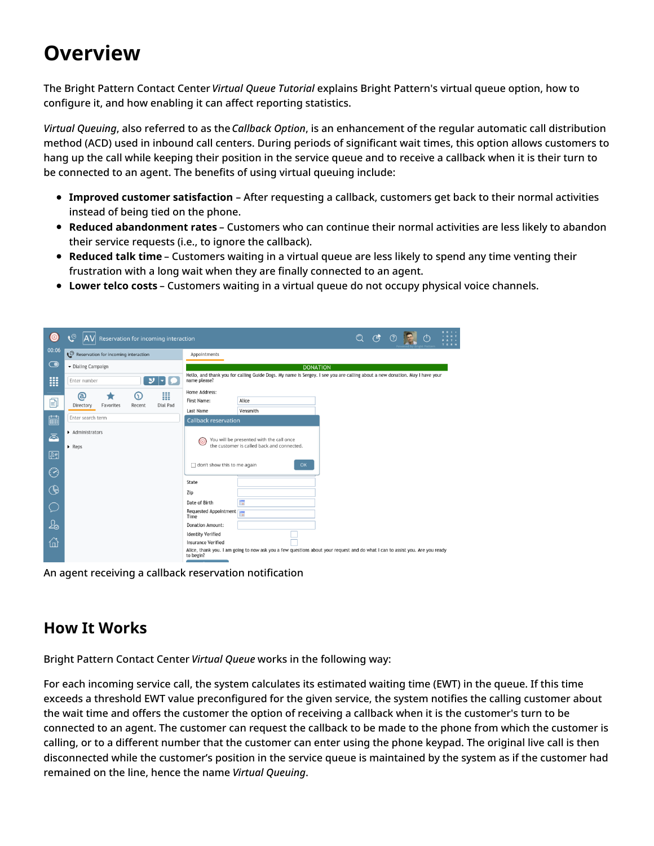# <span id="page-2-0"></span>**Overview**

The Bright Pattern Contact Center *Virtual Queue Tutorial* explains Bright Pattern's virtual queue option, how to configure it, and how enabling it can affect reporting statistics.

*Virtual Queuing*, also referred to as the *Callback Option*, is an enhancement of the regular automatic call distribution method (ACD) used in inbound call centers. During periods of significant wait times, this option allows customers to hang up the call while keeping their position in the service queue and to receive a callback when it is their turn to be connected to an agent. The benefits of using virtual queuing include:

- **Improved customer satisfaction** After requesting a callback, customers get back to their normal activities instead of being tied on the phone.
- **Reduced abandonment rates** Customers who can continue their normal activities are less likely to abandon their service requests (i.e., to ignore the callback).
- **Reduced talk time** Customers waiting in a virtual queue are less likely to spend any time venting their frustration with a long wait when they are finally connected to an agent.
- **Lower telco costs** Customers waiting in a virtual queue do not occupy physical voice channels.

| ⊙          | ಄<br>Reservation for incoming interaction    |                                                                                                                                             | $\circledcirc$ | $\mathcal{C}$ |  | <b>BRI-</b><br>. 6 H T<br>A T -<br>TERN |
|------------|----------------------------------------------|---------------------------------------------------------------------------------------------------------------------------------------------|----------------|---------------|--|-----------------------------------------|
| 00:06      | Reservation for incoming interaction         | Appointments                                                                                                                                |                |               |  |                                         |
| $\bigodot$ | - Dialing Campaign                           | <b>DONATION</b>                                                                                                                             |                |               |  |                                         |
| <b>III</b> | Enter number<br>ש                            | Hello, and thank you for calling Guide Dogs. My name is Sergey. I see you are calling about a new donation. May I have your<br>name please? |                |               |  |                                         |
| 囙          | ₩<br>බ<br>⋒                                  | Home Address:<br>First Name:<br>Alice                                                                                                       |                |               |  |                                         |
|            | Favorites<br>Dial Pad<br>Directory<br>Recent | Last Name<br>Vensmith                                                                                                                       |                |               |  |                                         |
| 圇          | Enter search term                            | <b>Callback reservation</b>                                                                                                                 |                |               |  |                                         |
| ā          | Administrators                               | You will be presented with the call once<br>ര                                                                                               |                |               |  |                                         |
| 四          | $\triangleright$ Reps                        | the customer is called back and connected.                                                                                                  |                |               |  |                                         |
| $\odot$    |                                              | don't show this to me again<br>OK                                                                                                           |                |               |  |                                         |
| $\bigcirc$ |                                              | State<br>Zip                                                                                                                                |                |               |  |                                         |
|            |                                              | ₩<br>Date of Birth                                                                                                                          |                |               |  |                                         |
|            |                                              | Requested Appointment<br>Time                                                                                                               |                |               |  |                                         |
| 怎          |                                              | <b>Donation Amount:</b>                                                                                                                     |                |               |  |                                         |
| 6          |                                              | <b>Identity Verified</b><br><b>Insurance Verified</b>                                                                                       |                |               |  |                                         |
|            |                                              | Alice, thank you. I am going to now ask you a few questions about your request and do what I can to assist you. Are you ready<br>to begin?  |                |               |  |                                         |

An agent receiving a callback reservation notification

### <span id="page-2-1"></span>**How It Works**

Bright Pattern Contact Center *Virtual Queue* works in the following way:

For each incoming service call, the system calculates its estimated waiting time (EWT) in the queue. If this time exceeds a threshold EWT value preconfigured for the given service, the system notifies the calling customer about the wait time and offers the customer the option of receiving a callback when it is the customer's turn to be connected to an agent. The customer can request the callback to be made to the phone from which the customer is calling, or to a different number that the customer can enter using the phone keypad. The original live call is then disconnected while the customer's position in the service queue is maintained by the system as if the customer had remained on the line, hence the name *Virtual Queuing*.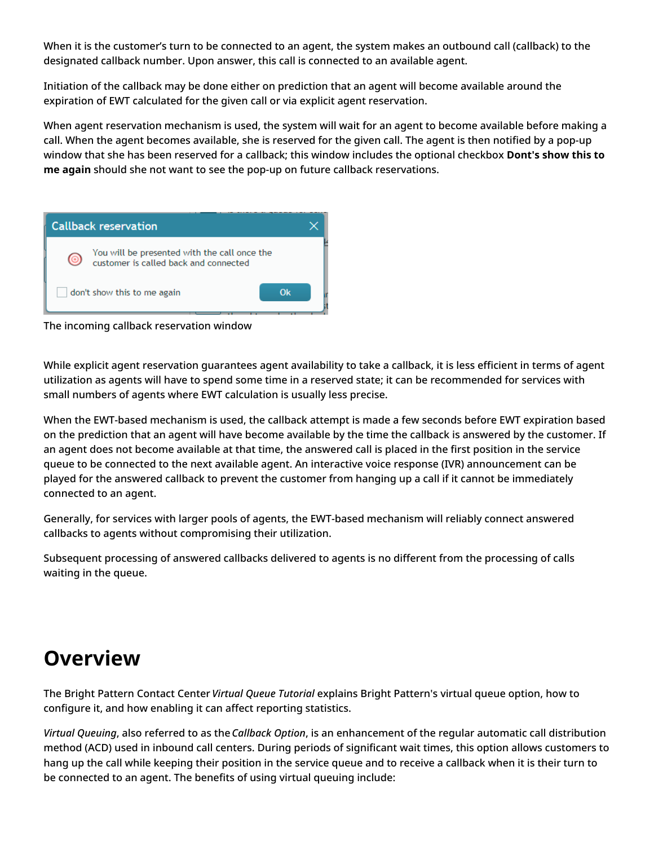When it is the customer's turn to be connected to an agent, the system makes an outbound call (callback) to the designated callback number. Upon answer, this call is connected to an available agent.

Initiation of the callback may be done either on prediction that an agent will become available around the expiration of EWT calculated for the given call or via explicit agent reservation.

When agent reservation mechanism is used, the system will wait for an agent to become available before making a call. When the agent becomes available, she is reserved for the given call. The agent is then notified by a pop-up window that she has been reserved for a callback; this window includes the optional checkbox **Dont's show this to me again** should she not want to see the pop-up on future callback reservations.



The incoming callback reservation window

While explicit agent reservation guarantees agent availability to take a callback, it is less efficient in terms of agent utilization as agents will have to spend some time in a reserved state; it can be recommended for services with small numbers of agents where EWT calculation is usually less precise.

When the EWT-based mechanism is used, the callback attempt is made a few seconds before EWT expiration based on the prediction that an agent will have become available by the time the callback is answered by the customer. If an agent does not become available at that time, the answered call is placed in the first position in the service queue to be connected to the next available agent. An interactive voice response (IVR) announcement can be played for the answered callback to prevent the customer from hanging up a call if it cannot be immediately connected to an agent.

Generally, for services with larger pools of agents, the EWT-based mechanism will reliably connect answered callbacks to agents without compromising their utilization.

Subsequent processing of answered callbacks delivered to agents is no different from the processing of calls waiting in the queue.

## <span id="page-3-0"></span>**Overview**

The Bright Pattern Contact Center *Virtual Queue Tutorial* explains Bright Pattern's virtual queue option, how to configure it, and how enabling it can affect reporting statistics.

*Virtual Queuing*, also referred to as the *Callback Option*, is an enhancement of the regular automatic call distribution method (ACD) used in inbound call centers. During periods of significant wait times, this option allows customers to hang up the call while keeping their position in the service queue and to receive a callback when it is their turn to be connected to an agent. The benefits of using virtual queuing include: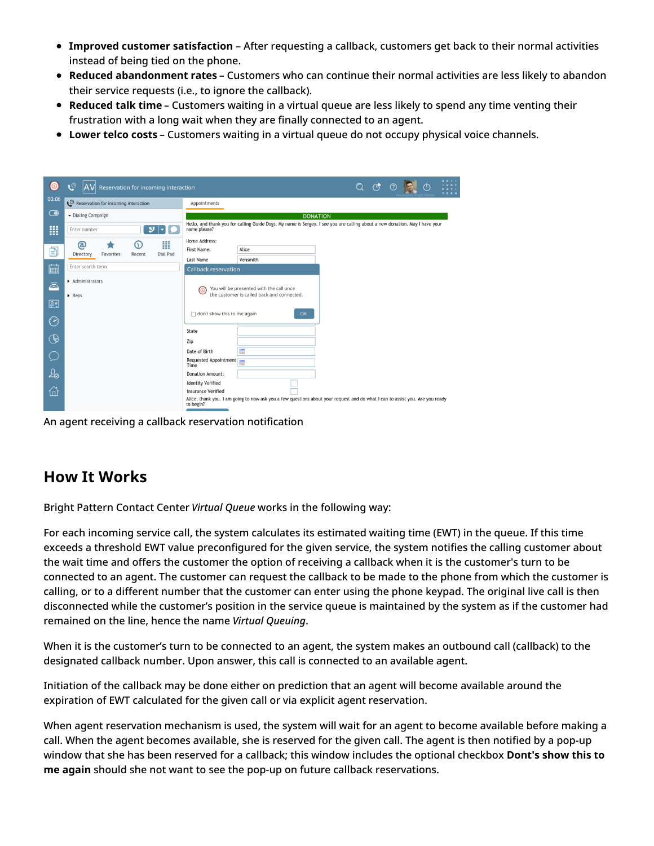- **Improved customer satisfaction** After requesting a callback, customers get back to their normal activities instead of being tied on the phone.
- **Reduced abandonment rates** Customers who can continue their normal activities are less likely to abandon their service requests (i.e., to ignore the callback).
- **Reduced talk time** Customers waiting in a virtual queue are less likely to spend any time venting their frustration with a long wait when they are finally connected to an agent.
- **Lower telco costs** Customers waiting in a virtual queue do not occupy physical voice channels.

| O                    | $\mathfrak{S}$<br>Reservation for incoming interaction |                                                                                                                                             | <b>BRI-</b><br>$\begin{array}{ccc} \mathbb{Q} & \mathbb{G}^* & \mathbb{O} \end{array}$<br><b>GHT</b><br><br>PAT -<br>TERN |
|----------------------|--------------------------------------------------------|---------------------------------------------------------------------------------------------------------------------------------------------|---------------------------------------------------------------------------------------------------------------------------|
| 00:06                | Reservation for incoming interaction                   | Appointments                                                                                                                                |                                                                                                                           |
| $\bigodot$           | - Dialing Campaign                                     | <b>DONATION</b>                                                                                                                             |                                                                                                                           |
| <b>III</b>           | $\boldsymbol{\omega}$<br>Enter number                  | Hello, and thank you for calling Guide Dogs. My name is Sergey. I see you are calling about a new donation. May I have your<br>name please? |                                                                                                                           |
|                      | ₩<br>ඬ<br>$\Omega$                                     | Home Address:                                                                                                                               |                                                                                                                           |
| §                    | Favorites<br>Dial Pad<br>Directory<br>Recent           | Alice<br>First Name:                                                                                                                        |                                                                                                                           |
| ■                    | Enter search term                                      | Last Name<br>Vensmith<br>Callback reservation                                                                                               |                                                                                                                           |
| ā                    | Administrators<br>$\triangleright$ Reps                | You will be presented with the call once<br>(⊙<br>the customer is called back and connected.                                                |                                                                                                                           |
| 図                    |                                                        | don't show this to me again<br>OK                                                                                                           |                                                                                                                           |
| $\odot$              |                                                        |                                                                                                                                             |                                                                                                                           |
| $\bigcirc$           |                                                        | State<br>Zip                                                                                                                                |                                                                                                                           |
| $\subset$            |                                                        | ₩<br>Date of Birth<br>Requested Appointment<br>Time                                                                                         |                                                                                                                           |
| $\mathfrak{L}_\odot$ |                                                        | <b>Donation Amount:</b>                                                                                                                     |                                                                                                                           |
| 佡                    |                                                        | <b>Identity Verified</b><br><b>Insurance Verified</b>                                                                                       |                                                                                                                           |
|                      |                                                        | Alice, thank you. I am going to now ask you a few questions about your request and do what I can to assist you. Are you ready<br>to begin?  |                                                                                                                           |

An agent receiving a callback reservation notification

### <span id="page-4-0"></span>**How It Works**

Bright Pattern Contact Center *Virtual Queue* works in the following way:

For each incoming service call, the system calculates its estimated waiting time (EWT) in the queue. If this time exceeds a threshold EWT value preconfigured for the given service, the system notifies the calling customer about the wait time and offers the customer the option of receiving a callback when it is the customer's turn to be connected to an agent. The customer can request the callback to be made to the phone from which the customer is calling, or to a different number that the customer can enter using the phone keypad. The original live call is then disconnected while the customer's position in the service queue is maintained by the system as if the customer had remained on the line, hence the name *Virtual Queuing*.

When it is the customer's turn to be connected to an agent, the system makes an outbound call (callback) to the designated callback number. Upon answer, this call is connected to an available agent.

Initiation of the callback may be done either on prediction that an agent will become available around the expiration of EWT calculated for the given call or via explicit agent reservation.

When agent reservation mechanism is used, the system will wait for an agent to become available before making a call. When the agent becomes available, she is reserved for the given call. The agent is then notified by a pop-up window that she has been reserved for a callback; this window includes the optional checkbox **Dont's show this to me again** should she not want to see the pop-up on future callback reservations.